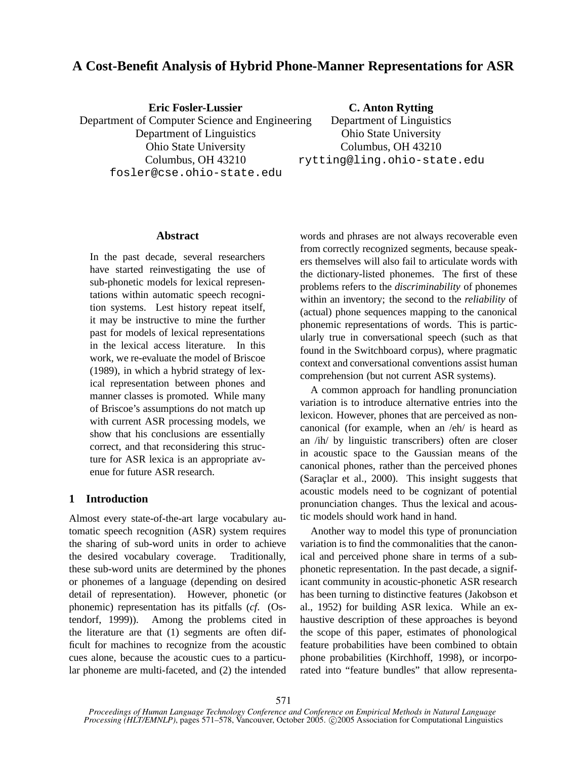# **A Cost-Benefit Analysis of Hybrid Phone-Manner Representations for ASR**

**Eric Fosler-Lussier** Department of Computer Science and Engineering Department of Linguistics Ohio State University Columbus, OH 43210 fosler@cse.ohio-state.edu

**C. Anton Rytting**

Department of Linguistics Ohio State University Columbus, OH 43210 rytting@ling.ohio-state.edu

### **Abstract**

In the past decade, several researchers have started reinvestigating the use of sub-phonetic models for lexical representations within automatic speech recognition systems. Lest history repeat itself, it may be instructive to mine the further past for models of lexical representations in the lexical access literature. In this work, we re-evaluate the model of Briscoe (1989), in which a hybrid strategy of lexical representation between phones and manner classes is promoted. While many of Briscoe's assumptions do not match up with current ASR processing models, we show that his conclusions are essentially correct, and that reconsidering this structure for ASR lexica is an appropriate avenue for future ASR research.

## **1 Introduction**

Almost every state-of-the-art large vocabulary automatic speech recognition (ASR) system requires the sharing of sub-word units in order to achieve the desired vocabulary coverage. Traditionally, these sub-word units are determined by the phones or phonemes of a language (depending on desired detail of representation). However, phonetic (or phonemic) representation has its pitfalls (*cf*. (Ostendorf, 1999)). Among the problems cited in the literature are that (1) segments are often difficult for machines to recognize from the acoustic cues alone, because the acoustic cues to a particular phoneme are multi-faceted, and (2) the intended

words and phrases are not always recoverable even from correctly recognized segments, because speakers themselves will also fail to articulate words with the dictionary-listed phonemes. The first of these problems refers to the *discriminability* of phonemes within an inventory; the second to the *reliability* of (actual) phone sequences mapping to the canonical phonemic representations of words. This is particularly true in conversational speech (such as that found in the Switchboard corpus), where pragmatic context and conversational conventions assist human comprehension (but not current ASR systems).

A common approach for handling pronunciation variation is to introduce alternative entries into the lexicon. However, phones that are perceived as noncanonical (for example, when an /eh/ is heard as an /ih/ by linguistic transcribers) often are closer in acoustic space to the Gaussian means of the canonical phones, rather than the perceived phones (Saraclar et al., 2000). This insight suggests that acoustic models need to be cognizant of potential pronunciation changes. Thus the lexical and acoustic models should work hand in hand.

Another way to model this type of pronunciation variation is to find the commonalities that the canonical and perceived phone share in terms of a subphonetic representation. In the past decade, a significant community in acoustic-phonetic ASR research has been turning to distinctive features (Jakobson et al., 1952) for building ASR lexica. While an exhaustive description of these approaches is beyond the scope of this paper, estimates of phonological feature probabilities have been combined to obtain phone probabilities (Kirchhoff, 1998), or incorporated into "feature bundles" that allow representa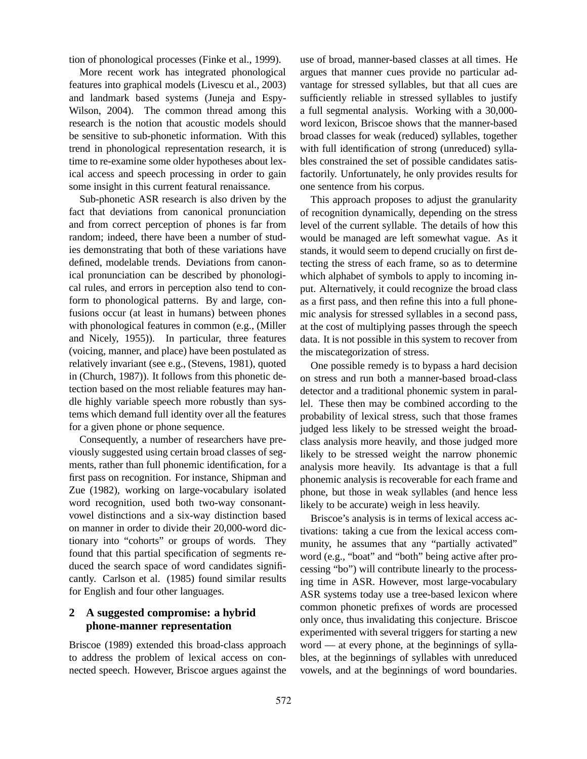tion of phonological processes (Finke et al., 1999).

More recent work has integrated phonological features into graphical models (Livescu et al., 2003) and landmark based systems (Juneja and Espy-Wilson, 2004). The common thread among this research is the notion that acoustic models should be sensitive to sub-phonetic information. With this trend in phonological representation research, it is time to re-examine some older hypotheses about lexical access and speech processing in order to gain some insight in this current featural renaissance.

Sub-phonetic ASR research is also driven by the fact that deviations from canonical pronunciation and from correct perception of phones is far from random; indeed, there have been a number of studies demonstrating that both of these variations have defined, modelable trends. Deviations from canonical pronunciation can be described by phonological rules, and errors in perception also tend to conform to phonological patterns. By and large, confusions occur (at least in humans) between phones with phonological features in common (e.g., (Miller and Nicely, 1955)). In particular, three features (voicing, manner, and place) have been postulated as relatively invariant (see e.g., (Stevens, 1981), quoted in (Church, 1987)). It follows from this phonetic detection based on the most reliable features may handle highly variable speech more robustly than systems which demand full identity over all the features for a given phone or phone sequence.

Consequently, a number of researchers have previously suggested using certain broad classes of segments, rather than full phonemic identification, for a first pass on recognition. For instance, Shipman and Zue (1982), working on large-vocabulary isolated word recognition, used both two-way consonantvowel distinctions and a six-way distinction based on manner in order to divide their 20,000-word dictionary into "cohorts" or groups of words. They found that this partial specification of segments reduced the search space of word candidates significantly. Carlson et al. (1985) found similar results for English and four other languages.

## **2 A suggested compromise: a hybrid phone-manner representation**

Briscoe (1989) extended this broad-class approach to address the problem of lexical access on connected speech. However, Briscoe argues against the use of broad, manner-based classes at all times. He argues that manner cues provide no particular advantage for stressed syllables, but that all cues are sufficiently reliable in stressed syllables to justify a full segmental analysis. Working with a 30,000 word lexicon, Briscoe shows that the manner-based broad classes for weak (reduced) syllables, together with full identification of strong (unreduced) syllables constrained the set of possible candidates satisfactorily. Unfortunately, he only provides results for one sentence from his corpus.

This approach proposes to adjust the granularity of recognition dynamically, depending on the stress level of the current syllable. The details of how this would be managed are left somewhat vague. As it stands, it would seem to depend crucially on first detecting the stress of each frame, so as to determine which alphabet of symbols to apply to incoming input. Alternatively, it could recognize the broad class as a first pass, and then refine this into a full phonemic analysis for stressed syllables in a second pass, at the cost of multiplying passes through the speech data. It is not possible in this system to recover from the miscategorization of stress.

One possible remedy is to bypass a hard decision on stress and run both a manner-based broad-class detector and a traditional phonemic system in parallel. These then may be combined according to the probability of lexical stress, such that those frames judged less likely to be stressed weight the broadclass analysis more heavily, and those judged more likely to be stressed weight the narrow phonemic analysis more heavily. Its advantage is that a full phonemic analysis is recoverable for each frame and phone, but those in weak syllables (and hence less likely to be accurate) weigh in less heavily.

Briscoe's analysis is in terms of lexical access activations: taking a cue from the lexical access community, he assumes that any "partially activated" word (e.g., "boat" and "both" being active after processing "bo") will contribute linearly to the processing time in ASR. However, most large-vocabulary ASR systems today use a tree-based lexicon where common phonetic prefixes of words are processed only once, thus invalidating this conjecture. Briscoe experimented with several triggers for starting a new word — at every phone, at the beginnings of syllables, at the beginnings of syllables with unreduced vowels, and at the beginnings of word boundaries.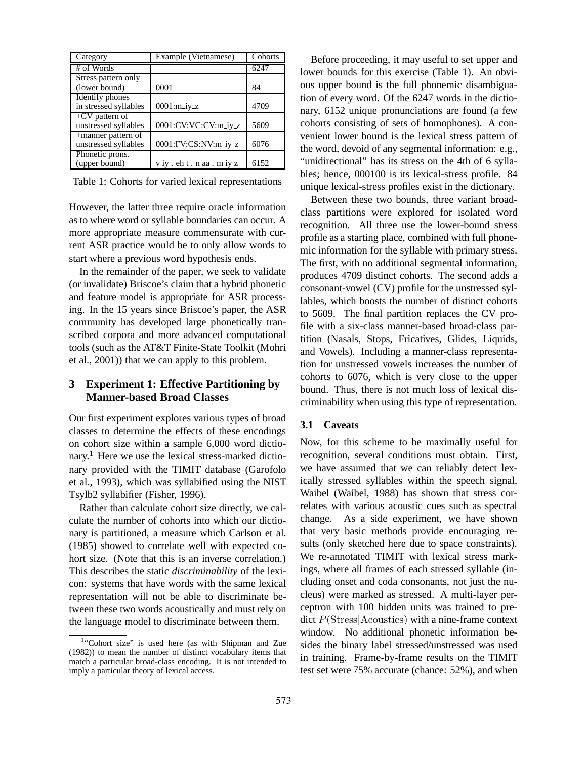| Category              | Example (Vietnamese) | Cohorts |
|-----------------------|----------------------|---------|
| # of Words            |                      | 6247    |
| Stress pattern only   |                      |         |
| (lower bound)         | 0001                 | 84      |
| Identify phones       |                      |         |
| in stressed syllables | $0001$ : $m_i$ iy_z  | 4709    |
| $+CV$ pattern of      |                      |         |
| unstressed syllables  | 0001:CV:VC:CV:m_iy_z | 5609    |
| +manner pattern of    |                      |         |
| unstressed syllables  | 0001:FV:CS:NV:m_iy_z | 6076    |
| Phonetic prons.       |                      |         |
| (upper bound)         | viy.eht.naa.miyz     | 6152    |

Table 1: Cohorts for varied lexical representations

However, the latter three require oracle information as to where word or syllable boundaries can occur. A more appropriate measure commensurate with current ASR practice would be to only allow words to start where a previous word hypothesis ends.

In the remainder of the paper, we seek to validate (or invalidate) Briscoe's claim that a hybrid phonetic and feature model is appropriate for ASR processing. In the 15 years since Briscoe's paper, the ASR community has developed large phonetically transcribed corpora and more advanced computational tools (such as the AT&T Finite-State Toolkit (Mohri et al., 2001)) that we can apply to this problem.

## **3 Experiment 1: Effective Partitioning by Manner-based Broad Classes**

Our first experiment explores various types of broad classes to determine the effects of these encodings on cohort size within a sample 6,000 word dictionary.<sup>1</sup> Here we use the lexical stress-marked dictionary provided with the TIMIT database (Garofolo et al., 1993), which was syllabified using the NIST Tsylb2 syllabifier (Fisher, 1996).

Rather than calculate cohort size directly, we calculate the number of cohorts into which our dictionary is partitioned, a measure which Carlson et al. (1985) showed to correlate well with expected cohort size. (Note that this is an inverse correlation.) This describes the static *discriminability* of the lexicon: systems that have words with the same lexical representation will not be able to discriminate between these two words acoustically and must rely on the language model to discriminate between them.

Before proceeding, it may useful to set upper and lower bounds for this exercise (Table 1). An obvious upper bound is the full phonemic disambiguation of every word. Of the 6247 words in the dictionary, 6152 unique pronunciations are found (a few cohorts consisting of sets of homophones). A convenient lower bound is the lexical stress pattern of the word, devoid of any segmental information: e.g., "unidirectional" has its stress on the 4th of 6 syllables; hence, 000100 is its lexical-stress profile. 84 unique lexical-stress profiles exist in the dictionary.

Between these two bounds, three variant broadclass partitions were explored for isolated word recognition. All three use the lower-bound stress profile as a starting place, combined with full phonemic information for the syllable with primary stress. The first, with no additional segmental information, produces 4709 distinct cohorts. The second adds a consonant-vowel (CV) profile for the unstressed syllables, which boosts the number of distinct cohorts to 5609. The final partition replaces the CV profile with a six-class manner-based broad-class partition (Nasals, Stops, Fricatives, Glides, Liquids, and Vowels). Including a manner-class representation for unstressed vowels increases the number of cohorts to 6076, which is very close to the upper bound. Thus, there is not much loss of lexical discriminability when using this type of representation.

#### **3.1 Caveats**

Now, for this scheme to be maximally useful for recognition, several conditions must obtain. First, we have assumed that we can reliably detect lexically stressed syllables within the speech signal. Waibel (Waibel, 1988) has shown that stress correlates with various acoustic cues such as spectral change. As a side experiment, we have shown that very basic methods provide encouraging results (only sketched here due to space constraints). We re-annotated TIMIT with lexical stress markings, where all frames of each stressed syllable (including onset and coda consonants, not just the nucleus) were marked as stressed. A multi-layer perceptron with 100 hidden units was trained to predict P(Stress|Acoustics) with a nine-frame context window. No additional phonetic information besides the binary label stressed/unstressed was used in training. Frame-by-frame results on the TIMIT test set were 75% accurate (chance: 52%), and when

<sup>&</sup>lt;sup>1</sup>"Cohort size" is used here (as with Shipman and Zue (1982)) to mean the number of distinct vocabulary items that match a particular broad-class encoding. It is not intended to imply a particular theory of lexical access.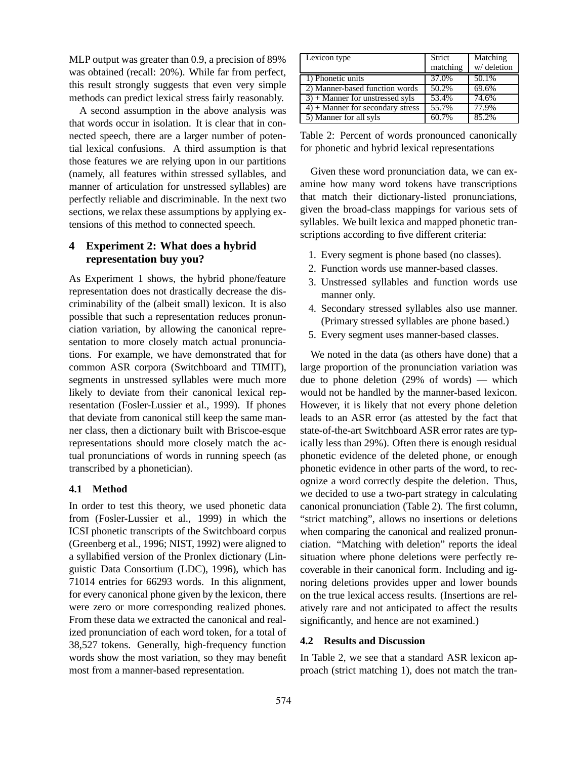MLP output was greater than 0.9, a precision of 89% was obtained (recall: 20%). While far from perfect, this result strongly suggests that even very simple methods can predict lexical stress fairly reasonably.

A second assumption in the above analysis was that words occur in isolation. It is clear that in connected speech, there are a larger number of potential lexical confusions. A third assumption is that those features we are relying upon in our partitions (namely, all features within stressed syllables, and manner of articulation for unstressed syllables) are perfectly reliable and discriminable. In the next two sections, we relax these assumptions by applying extensions of this method to connected speech.

### **4 Experiment 2: What does a hybrid representation buy you?**

As Experiment 1 shows, the hybrid phone/feature representation does not drastically decrease the discriminability of the (albeit small) lexicon. It is also possible that such a representation reduces pronunciation variation, by allowing the canonical representation to more closely match actual pronunciations. For example, we have demonstrated that for common ASR corpora (Switchboard and TIMIT), segments in unstressed syllables were much more likely to deviate from their canonical lexical representation (Fosler-Lussier et al., 1999). If phones that deviate from canonical still keep the same manner class, then a dictionary built with Briscoe-esque representations should more closely match the actual pronunciations of words in running speech (as transcribed by a phonetician).

#### **4.1 Method**

In order to test this theory, we used phonetic data from (Fosler-Lussier et al., 1999) in which the ICSI phonetic transcripts of the Switchboard corpus (Greenberg et al., 1996; NIST, 1992) were aligned to a syllabified version of the Pronlex dictionary (Linguistic Data Consortium (LDC), 1996), which has 71014 entries for 66293 words. In this alignment, for every canonical phone given by the lexicon, there were zero or more corresponding realized phones. From these data we extracted the canonical and realized pronunciation of each word token, for a total of 38,527 tokens. Generally, high-frequency function words show the most variation, so they may benefit most from a manner-based representation.

| Lexicon type                        | Strict<br>matching | Matching<br>w/deletion |
|-------------------------------------|--------------------|------------------------|
| 1) Phonetic units                   | 37.0%              | 50.1%                  |
| 2) Manner-based function words      | 50.2%              | 69.6%                  |
| $3) +$ Manner for unstressed syls   | 53.4%              | 74.6%                  |
| $4$ ) + Manner for secondary stress | 55.7%              | 77.9%                  |
| 5) Manner for all syls              | 60.7%              | 85.2%                  |

Table 2: Percent of words pronounced canonically for phonetic and hybrid lexical representations

Given these word pronunciation data, we can examine how many word tokens have transcriptions that match their dictionary-listed pronunciations, given the broad-class mappings for various sets of syllables. We built lexica and mapped phonetic transcriptions according to five different criteria:

- 1. Every segment is phone based (no classes).
- 2. Function words use manner-based classes.
- 3. Unstressed syllables and function words use manner only.
- 4. Secondary stressed syllables also use manner. (Primary stressed syllables are phone based.)
- 5. Every segment uses manner-based classes.

We noted in the data (as others have done) that a large proportion of the pronunciation variation was due to phone deletion (29% of words) — which would not be handled by the manner-based lexicon. However, it is likely that not every phone deletion leads to an ASR error (as attested by the fact that state-of-the-art Switchboard ASR error rates are typically less than 29%). Often there is enough residual phonetic evidence of the deleted phone, or enough phonetic evidence in other parts of the word, to recognize a word correctly despite the deletion. Thus, we decided to use a two-part strategy in calculating canonical pronunciation (Table 2). The first column, "strict matching", allows no insertions or deletions when comparing the canonical and realized pronunciation. "Matching with deletion" reports the ideal situation where phone deletions were perfectly recoverable in their canonical form. Including and ignoring deletions provides upper and lower bounds on the true lexical access results. (Insertions are relatively rare and not anticipated to affect the results significantly, and hence are not examined.)

### **4.2 Results and Discussion**

In Table 2, we see that a standard ASR lexicon approach (strict matching 1), does not match the tran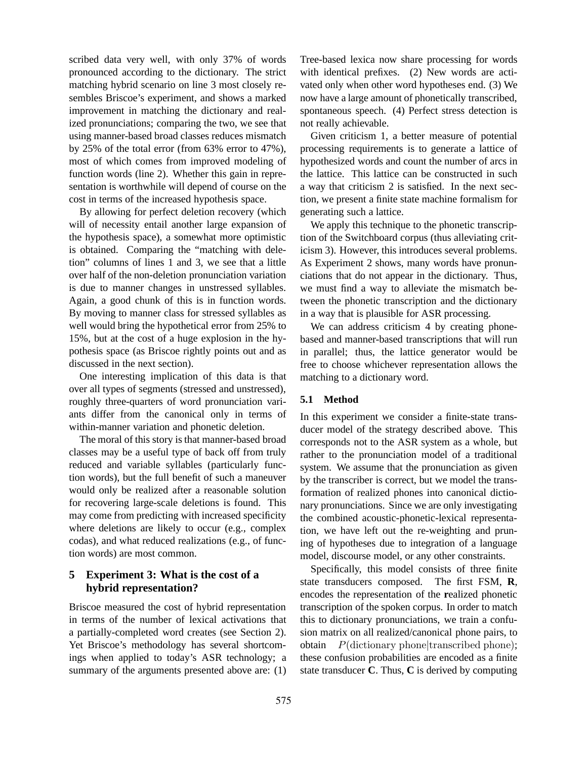scribed data very well, with only 37% of words pronounced according to the dictionary. The strict matching hybrid scenario on line 3 most closely resembles Briscoe's experiment, and shows a marked improvement in matching the dictionary and realized pronunciations; comparing the two, we see that using manner-based broad classes reduces mismatch by 25% of the total error (from 63% error to 47%), most of which comes from improved modeling of function words (line 2). Whether this gain in representation is worthwhile will depend of course on the cost in terms of the increased hypothesis space.

By allowing for perfect deletion recovery (which will of necessity entail another large expansion of the hypothesis space), a somewhat more optimistic is obtained. Comparing the "matching with deletion" columns of lines 1 and 3, we see that a little over half of the non-deletion pronunciation variation is due to manner changes in unstressed syllables. Again, a good chunk of this is in function words. By moving to manner class for stressed syllables as well would bring the hypothetical error from 25% to 15%, but at the cost of a huge explosion in the hypothesis space (as Briscoe rightly points out and as discussed in the next section).

One interesting implication of this data is that over all types of segments (stressed and unstressed), roughly three-quarters of word pronunciation variants differ from the canonical only in terms of within-manner variation and phonetic deletion.

The moral of this story is that manner-based broad classes may be a useful type of back off from truly reduced and variable syllables (particularly function words), but the full benefit of such a maneuver would only be realized after a reasonable solution for recovering large-scale deletions is found. This may come from predicting with increased specificity where deletions are likely to occur (e.g., complex codas), and what reduced realizations (e.g., of function words) are most common.

# **5 Experiment 3: What is the cost of a hybrid representation?**

Briscoe measured the cost of hybrid representation in terms of the number of lexical activations that a partially-completed word creates (see Section 2). Yet Briscoe's methodology has several shortcomings when applied to today's ASR technology; a summary of the arguments presented above are: (1)

Tree-based lexica now share processing for words with identical prefixes. (2) New words are activated only when other word hypotheses end. (3) We now have a large amount of phonetically transcribed, spontaneous speech. (4) Perfect stress detection is not really achievable.

Given criticism 1, a better measure of potential processing requirements is to generate a lattice of hypothesized words and count the number of arcs in the lattice. This lattice can be constructed in such a way that criticism 2 is satisfied. In the next section, we present a finite state machine formalism for generating such a lattice.

We apply this technique to the phonetic transcription of the Switchboard corpus (thus alleviating criticism 3). However, this introduces several problems. As Experiment 2 shows, many words have pronunciations that do not appear in the dictionary. Thus, we must find a way to alleviate the mismatch between the phonetic transcription and the dictionary in a way that is plausible for ASR processing.

We can address criticism 4 by creating phonebased and manner-based transcriptions that will run in parallel; thus, the lattice generator would be free to choose whichever representation allows the matching to a dictionary word.

### **5.1 Method**

In this experiment we consider a finite-state transducer model of the strategy described above. This corresponds not to the ASR system as a whole, but rather to the pronunciation model of a traditional system. We assume that the pronunciation as given by the transcriber is correct, but we model the transformation of realized phones into canonical dictionary pronunciations. Since we are only investigating the combined acoustic-phonetic-lexical representation, we have left out the re-weighting and pruning of hypotheses due to integration of a language model, discourse model, or any other constraints.

Specifically, this model consists of three finite state transducers composed. The first FSM, **R**, encodes the representation of the **r**ealized phonetic transcription of the spoken corpus. In order to match this to dictionary pronunciations, we train a confusion matrix on all realized/canonical phone pairs, to obtain  $P(\text{dictionary phoneltranscribed phone});$ these confusion probabilities are encoded as a finite state transducer **C**. Thus, **C** is derived by computing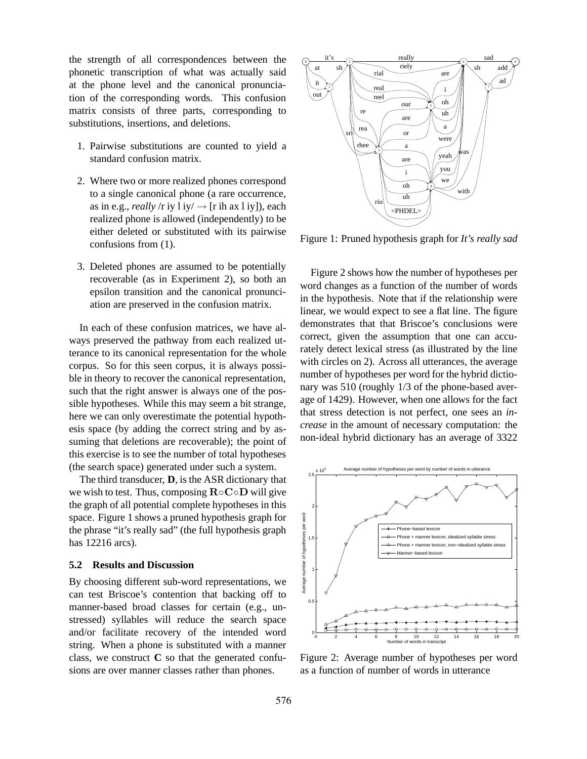the strength of all correspondences between the phonetic transcription of what was actually said at the phone level and the canonical pronunciation of the corresponding words. This confusion matrix consists of three parts, corresponding to substitutions, insertions, and deletions.

- 1. Pairwise substitutions are counted to yield a standard confusion matrix.
- 2. Where two or more realized phones correspond to a single canonical phone (a rare occurrence, as in e.g., *really* /r iy  $1 \text{ iy}$   $\rightarrow$  [r ih ax  $1 \text{ iy}$ ], each realized phone is allowed (independently) to be either deleted or substituted with its pairwise confusions from (1).
- 3. Deleted phones are assumed to be potentially recoverable (as in Experiment 2), so both an epsilon transition and the canonical pronunciation are preserved in the confusion matrix.

In each of these confusion matrices, we have always preserved the pathway from each realized utterance to its canonical representation for the whole corpus. So for this seen corpus, it is always possible in theory to recover the canonical representation, such that the right answer is always one of the possible hypotheses. While this may seem a bit strange, here we can only overestimate the potential hypothesis space (by adding the correct string and by assuming that deletions are recoverable); the point of this exercise is to see the number of total hypotheses (the search space) generated under such a system.

The third transducer, **D**, is the ASR dictionary that we wish to test. Thus, composing  $\mathbf{R} \circ \mathbf{C} \circ \mathbf{D}$  will give the graph of all potential complete hypotheses in this space. Figure 1 shows a pruned hypothesis graph for the phrase "it's really sad" (the full hypothesis graph has 12216 arcs).

#### **5.2 Results and Discussion**

By choosing different sub-word representations, we can test Briscoe's contention that backing off to manner-based broad classes for certain (e.g., unstressed) syllables will reduce the search space and/or facilitate recovery of the intended word string. When a phone is substituted with a manner class, we construct  $C$  so that the generated confusions are over manner classes rather than phones.



Figure 1: Pruned hypothesis graph for *It's really sad*

Figure 2 shows how the number of hypotheses per word changes as a function of the number of words in the hypothesis. Note that if the relationship were linear, we would expect to see a flat line. The figure demonstrates that that Briscoe's conclusions were correct, given the assumption that one can accurately detect lexical stress (as illustrated by the line with circles on 2). Across all utterances, the average number of hypotheses per word for the hybrid dictionary was 510 (roughly 1/3 of the phone-based average of 1429). However, when one allows for the fact that stress detection is not perfect, one sees an *increase* in the amount of necessary computation: the non-ideal hybrid dictionary has an average of 3322



Figure 2: Average number of hypotheses per word as a function of number of words in utterance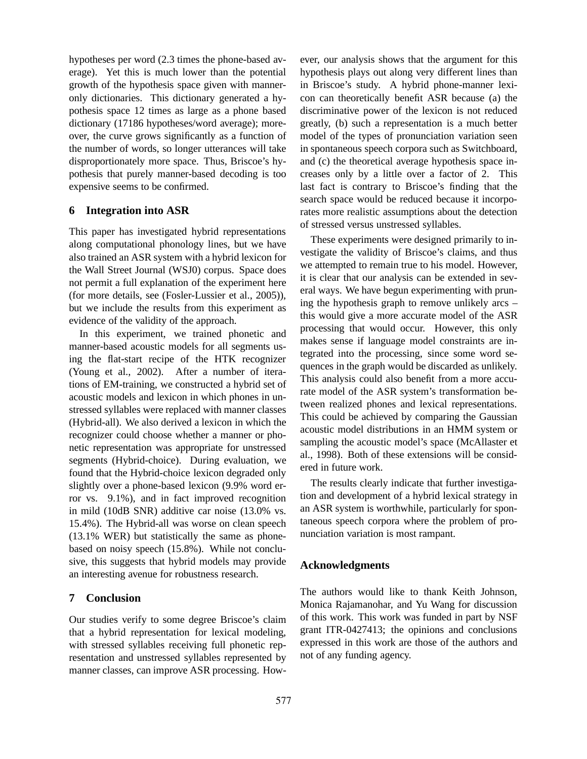hypotheses per word (2.3 times the phone-based average). Yet this is much lower than the potential growth of the hypothesis space given with manneronly dictionaries. This dictionary generated a hypothesis space 12 times as large as a phone based dictionary (17186 hypotheses/word average); moreover, the curve grows significantly as a function of the number of words, so longer utterances will take disproportionately more space. Thus, Briscoe's hypothesis that purely manner-based decoding is too expensive seems to be confirmed.

### **6 Integration into ASR**

This paper has investigated hybrid representations along computational phonology lines, but we have also trained an ASR system with a hybrid lexicon for the Wall Street Journal (WSJ0) corpus. Space does not permit a full explanation of the experiment here (for more details, see (Fosler-Lussier et al., 2005)), but we include the results from this experiment as evidence of the validity of the approach.

In this experiment, we trained phonetic and manner-based acoustic models for all segments using the flat-start recipe of the HTK recognizer (Young et al., 2002). After a number of iterations of EM-training, we constructed a hybrid set of acoustic models and lexicon in which phones in unstressed syllables were replaced with manner classes (Hybrid-all). We also derived a lexicon in which the recognizer could choose whether a manner or phonetic representation was appropriate for unstressed segments (Hybrid-choice). During evaluation, we found that the Hybrid-choice lexicon degraded only slightly over a phone-based lexicon (9.9% word error vs. 9.1%), and in fact improved recognition in mild (10dB SNR) additive car noise (13.0% vs. 15.4%). The Hybrid-all was worse on clean speech (13.1% WER) but statistically the same as phonebased on noisy speech (15.8%). While not conclusive, this suggests that hybrid models may provide an interesting avenue for robustness research.

### **7 Conclusion**

Our studies verify to some degree Briscoe's claim that a hybrid representation for lexical modeling, with stressed syllables receiving full phonetic representation and unstressed syllables represented by manner classes, can improve ASR processing. However, our analysis shows that the argument for this hypothesis plays out along very different lines than in Briscoe's study. A hybrid phone-manner lexicon can theoretically benefit ASR because (a) the discriminative power of the lexicon is not reduced greatly, (b) such a representation is a much better model of the types of pronunciation variation seen in spontaneous speech corpora such as Switchboard, and (c) the theoretical average hypothesis space increases only by a little over a factor of 2. This last fact is contrary to Briscoe's finding that the search space would be reduced because it incorporates more realistic assumptions about the detection of stressed versus unstressed syllables.

These experiments were designed primarily to investigate the validity of Briscoe's claims, and thus we attempted to remain true to his model. However, it is clear that our analysis can be extended in several ways. We have begun experimenting with pruning the hypothesis graph to remove unlikely arcs – this would give a more accurate model of the ASR processing that would occur. However, this only makes sense if language model constraints are integrated into the processing, since some word sequences in the graph would be discarded as unlikely. This analysis could also benefit from a more accurate model of the ASR system's transformation between realized phones and lexical representations. This could be achieved by comparing the Gaussian acoustic model distributions in an HMM system or sampling the acoustic model's space (McAllaster et al., 1998). Both of these extensions will be considered in future work.

The results clearly indicate that further investigation and development of a hybrid lexical strategy in an ASR system is worthwhile, particularly for spontaneous speech corpora where the problem of pronunciation variation is most rampant.

# **Acknowledgments**

The authors would like to thank Keith Johnson, Monica Rajamanohar, and Yu Wang for discussion of this work. This work was funded in part by NSF grant ITR-0427413; the opinions and conclusions expressed in this work are those of the authors and not of any funding agency.